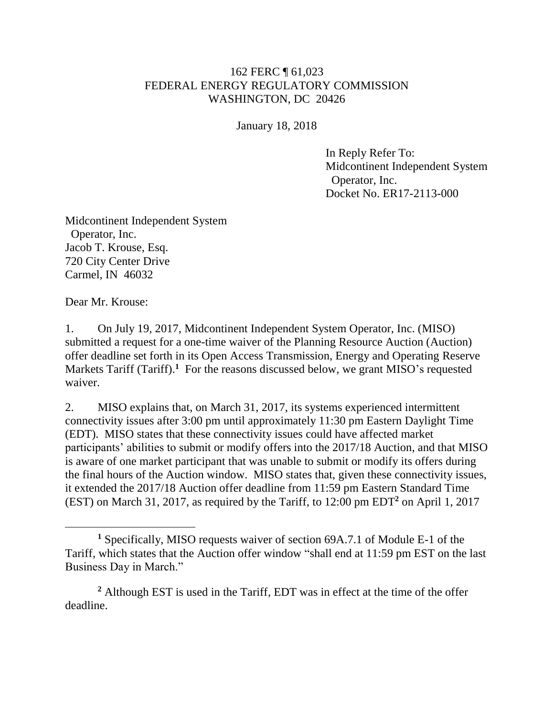## 162 FERC ¶ 61,023 FEDERAL ENERGY REGULATORY COMMISSION WASHINGTON, DC 20426

January 18, 2018

In Reply Refer To: Midcontinent Independent System Operator, Inc. Docket No. ER17-2113-000

Midcontinent Independent System Operator, Inc. Jacob T. Krouse, Esq. 720 City Center Drive Carmel, IN 46032

Dear Mr. Krouse:

1. On July 19, 2017, Midcontinent Independent System Operator, Inc. (MISO) submitted a request for a one-time waiver of the Planning Resource Auction (Auction) offer deadline set forth in its Open Access Transmission, Energy and Operating Reserve Markets Tariff (Tariff).<sup>1</sup> For the reasons discussed below, we grant MISO's requested waiver.

2. MISO explains that, on March 31, 2017, its systems experienced intermittent connectivity issues after 3:00 pm until approximately 11:30 pm Eastern Daylight Time (EDT). MISO states that these connectivity issues could have affected market participants' abilities to submit or modify offers into the 2017/18 Auction, and that MISO is aware of one market participant that was unable to submit or modify its offers during the final hours of the Auction window. MISO states that, given these connectivity issues, it extended the 2017/18 Auction offer deadline from 11:59 pm Eastern Standard Time (EST) on March 31, 2017, as required by the Tariff, to 12:00 pm EDT**<sup>2</sup>** on April 1, 2017

**<sup>1</sup>** Specifically, MISO requests waiver of section 69A.7.1 of Module E-1 of the Tariff, which states that the Auction offer window "shall end at 11:59 pm EST on the last Business Day in March."

**<sup>2</sup>** Although EST is used in the Tariff, EDT was in effect at the time of the offer deadline.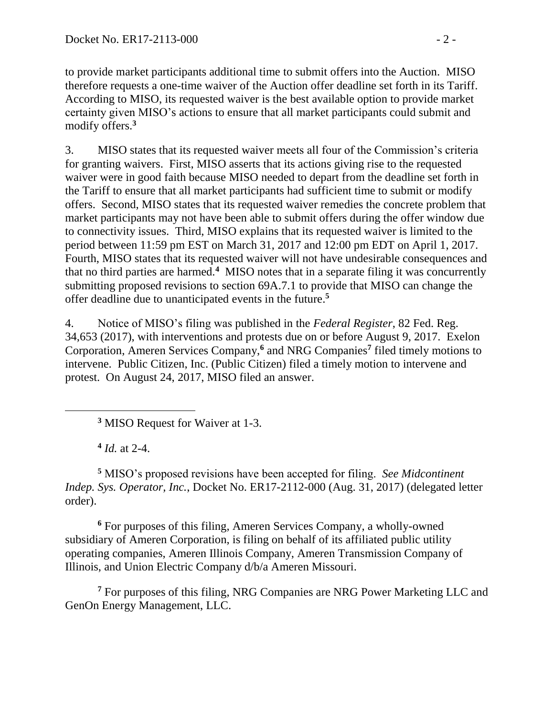to provide market participants additional time to submit offers into the Auction. MISO therefore requests a one-time waiver of the Auction offer deadline set forth in its Tariff. According to MISO, its requested waiver is the best available option to provide market certainty given MISO's actions to ensure that all market participants could submit and modify offers.**<sup>3</sup>**

3. MISO states that its requested waiver meets all four of the Commission's criteria for granting waivers. First, MISO asserts that its actions giving rise to the requested waiver were in good faith because MISO needed to depart from the deadline set forth in the Tariff to ensure that all market participants had sufficient time to submit or modify offers. Second, MISO states that its requested waiver remedies the concrete problem that market participants may not have been able to submit offers during the offer window due to connectivity issues. Third, MISO explains that its requested waiver is limited to the period between 11:59 pm EST on March 31, 2017 and 12:00 pm EDT on April 1, 2017. Fourth, MISO states that its requested waiver will not have undesirable consequences and that no third parties are harmed.**<sup>4</sup>** MISO notes that in a separate filing it was concurrently submitting proposed revisions to section 69A.7.1 to provide that MISO can change the offer deadline due to unanticipated events in the future. **5**

4. Notice of MISO's filing was published in the *Federal Register*, 82 Fed. Reg. 34,653 (2017), with interventions and protests due on or before August 9, 2017. Exelon Corporation, Ameren Services Company,**<sup>6</sup>** and NRG Companies**<sup>7</sup>** filed timely motions to intervene. Public Citizen, Inc. (Public Citizen) filed a timely motion to intervene and protest. On August 24, 2017, MISO filed an answer.

**<sup>3</sup>** MISO Request for Waiver at 1-3.

**4** *Id.* at 2-4.

 $\overline{a}$ 

**<sup>5</sup>** MISO's proposed revisions have been accepted for filing. *See Midcontinent Indep. Sys. Operator, Inc.*, Docket No. ER17-2112-000 (Aug. 31, 2017) (delegated letter order).

**<sup>6</sup>** For purposes of this filing, Ameren Services Company, a wholly-owned subsidiary of Ameren Corporation, is filing on behalf of its affiliated public utility operating companies, Ameren Illinois Company, Ameren Transmission Company of Illinois, and Union Electric Company d/b/a Ameren Missouri.

**<sup>7</sup>** For purposes of this filing, NRG Companies are NRG Power Marketing LLC and GenOn Energy Management, LLC.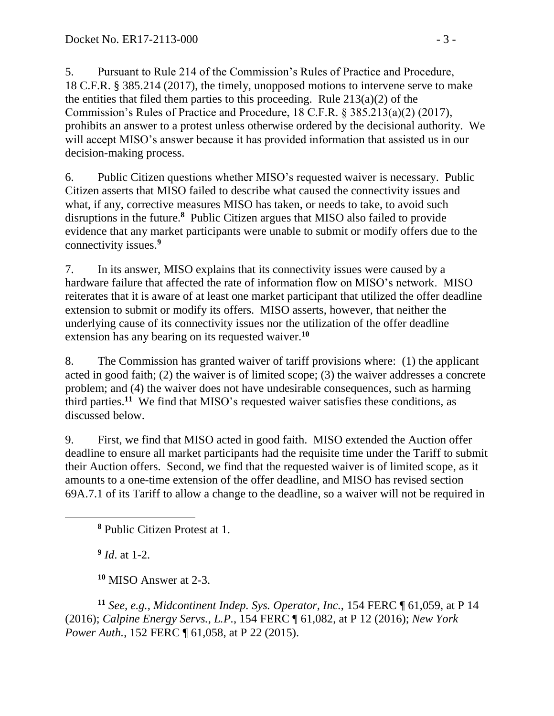5. Pursuant to Rule 214 of the Commission's Rules of Practice and Procedure, 18 C.F.R. § 385.214 (2017), the timely, unopposed motions to intervene serve to make the entities that filed them parties to this proceeding. Rule  $213(a)(2)$  of the Commission's Rules of Practice and Procedure, 18 C.F.R. § 385.213(a)(2) (2017), prohibits an answer to a protest unless otherwise ordered by the decisional authority. We will accept MISO's answer because it has provided information that assisted us in our decision-making process.

6. Public Citizen questions whether MISO's requested waiver is necessary. Public Citizen asserts that MISO failed to describe what caused the connectivity issues and what, if any, corrective measures MISO has taken, or needs to take, to avoid such disruptions in the future.**<sup>8</sup>** Public Citizen argues that MISO also failed to provide evidence that any market participants were unable to submit or modify offers due to the connectivity issues.**<sup>9</sup>**

7. In its answer, MISO explains that its connectivity issues were caused by a hardware failure that affected the rate of information flow on MISO's network. MISO reiterates that it is aware of at least one market participant that utilized the offer deadline extension to submit or modify its offers. MISO asserts, however, that neither the underlying cause of its connectivity issues nor the utilization of the offer deadline extension has any bearing on its requested waiver.**<sup>10</sup>**

8. The Commission has granted waiver of tariff provisions where: (1) the applicant acted in good faith; (2) the waiver is of limited scope; (3) the waiver addresses a concrete problem; and (4) the waiver does not have undesirable consequences, such as harming third parties.**<sup>11</sup>** We find that MISO's requested waiver satisfies these conditions, as discussed below.

9. First, we find that MISO acted in good faith. MISO extended the Auction offer deadline to ensure all market participants had the requisite time under the Tariff to submit their Auction offers. Second, we find that the requested waiver is of limited scope, as it amounts to a one-time extension of the offer deadline, and MISO has revised section 69A.7.1 of its Tariff to allow a change to the deadline, so a waiver will not be required in

**9** *Id*. at 1-2.

 $\overline{a}$ 

**<sup>10</sup>** MISO Answer at 2-3.

**<sup>11</sup>** *See, e.g.*, *Midcontinent Indep. Sys. Operator, Inc.*, 154 FERC ¶ 61,059, at P 14 (2016); *Calpine Energy Servs., L.P.*, 154 FERC ¶ 61,082, at P 12 (2016); *New York Power Auth.*, 152 FERC ¶ 61,058, at P 22 (2015).

**<sup>8</sup>** Public Citizen Protest at 1.